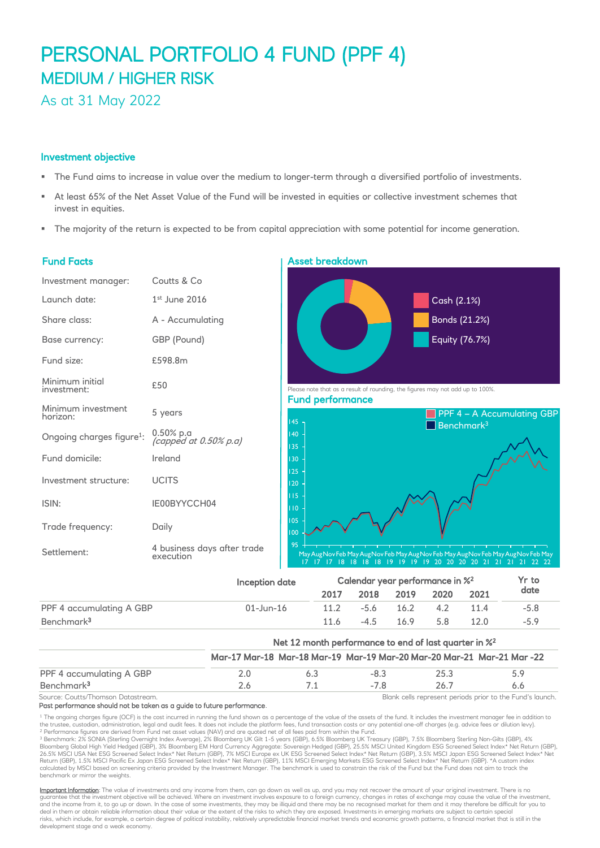# PERSONAL PORTFOLIO 4 FUND (PPF 4) MEDIUM / HIGHER RISK

As at 31 May 2022

### Investment objective

- The Fund aims to increase in value over the medium to longer-term through a diversified portfolio of investments.
- At least 65% of the Net Asset Value of the Fund will be invested in equities or collective investment schemes that invest in equities.
- The majority of the return is expected to be from capital appreciation with some potential for income generation.

### Fund Facts

| Investment manager:                   | Coutts & Co                              |
|---------------------------------------|------------------------------------------|
| Launch date:                          | $1st$ June 2016                          |
| Share class:                          | A - Accumulating                         |
| Base currency:                        | GBP (Pound)                              |
| Fund size:                            | £598.8m                                  |
| Minimum initial<br>investment:        | £50                                      |
| Minimum investment<br>horizon:        | 5 years                                  |
| Ongoing charges figure <sup>1</sup> : | 0.50% p.a<br>(capped at $0.50\%$ p.a)    |
| Fund domicile:                        | Ireland                                  |
| Investment structure:                 | <b>UCITS</b>                             |
| ISIN:                                 | IE00BYYCCH04                             |
| Trade frequency:                      | Daily                                    |
| Settlement:                           | 4 business days after trade<br>execution |
|                                       |                                          |

# Asset breakdown



| Benchmark <sup>3</sup>   |                                                                   | 11.6                                                                   | $-4.5$ | 169 | 5 R  | 12 $\Omega$ | $-59$ |
|--------------------------|-------------------------------------------------------------------|------------------------------------------------------------------------|--------|-----|------|-------------|-------|
|                          | Net 12 month performance to end of last quarter in % <sup>2</sup> |                                                                        |        |     |      |             |       |
|                          |                                                                   | Mar-17 Mar-18 Mar-18 Mar-19 Mar-19 Mar-20 Mar-20 Mar-21 Mar-21 Mar -22 |        |     |      |             |       |
| PPF 4 accumulating A GBP | 2.0                                                               | 6.3                                                                    | $-8.3$ |     | 25.3 |             | 5.9   |
| Benchmark <sup>3</sup>   | 26                                                                |                                                                        | $-78$  |     | 26.7 |             | 6.6   |

Source: Coutts/Thomson Datastream. Blank cells represent periods prior to the Fund's launch. Past performance should not be taken as a guide to future performance.

<sup>1</sup> The ongoing charges figure (OCF) is the cost incurred in running the fund shown as a percentage of the value of the assets of the fund. It includes the investment manager fee in addition to the trustee, custodian, administration, legal and audit fees. It does not include the platform fees, fund transaction costs or any potential one-off charges (e.g. advice fees or dilution levy). <sup>2</sup> Performance figures are derived from Fund net asset values (NAV) and are quoted net of all fees paid from within the Fund.

<sup>3</sup> Benchmark: 2% SONIA (Sterling Overnight Index Average), 2% Bloomberg UK Gilt 1-5 years (GBP), 6.5% Bloomberg UK Treasury (GBP), 1.5% Bloomberg Sterling Non-Gilts (GBP), 4%<br>Bloomberg Global High Yield Hedged (GBP), 3% B 26.5% MSCI USA Net ESG Screened Select Index\* Net Return (GBP), 7% MSCI Europe ex UK ESG Screened Select Index\* Net Return (GBP), 3.5% MSCI Japan ESG Screened Select Index\* Net<br>Return (GBP), 1.5% MSCI Pacific Ex Japan ESG benchmark or mirror the weights.

Important Information: The value of investments and any income from them, can go down as well as up, and you may not recover the amount of your original investment. There is no guarantee that the investment objective will be achieved. Where an investment involves exposure to a foreign currency, changes in rates of exchange may cause the value of the investment, and the income from it, to go up or down. In the case of some investments, they may be illiquid and there may be no recognised market for them and it may therefore be difficult for you tc<br>deal in them or obtain reliable in risks, which include, for example, a certain degree of political instability, relatively unpredictable financial market trends and economic growth patterns, a financial market that is still in the development stage and a weak economy.